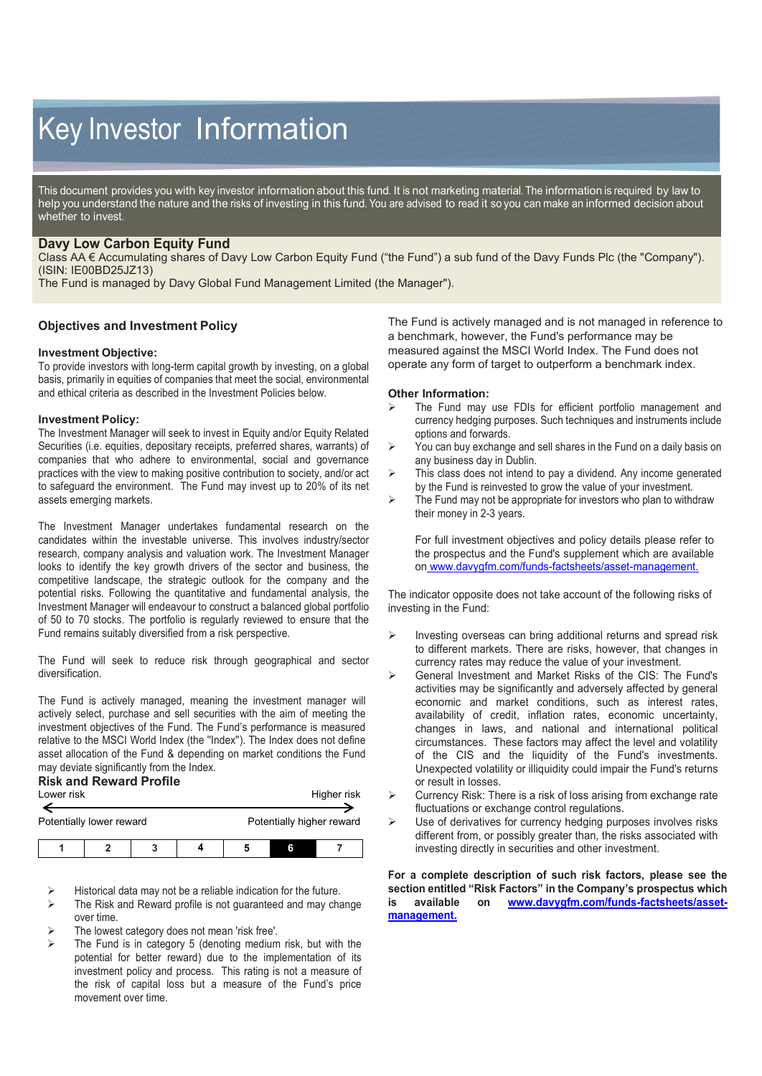# Key Investor Information

This document provides you with key investor information about this fund. It is not marketing material. The information is required by law to help you understand the nature and the risks of investing in this fund. You are advised to read it so you can make an informed decision about whether to invest.

# **Davy Low Carbon Equity Fund**

Class AA € Accumulating shares of Davy Low Carbon Equity Fund ("the Fund") a sub fund of the Davy Funds Plc (the "Company"). (ISIN: IE00BD25JZ13)

The Fund is managed by Davy Global Fund Management Limited (the Manager").

## **Objectives and Investment Policy**

### **Investment Objective:**

To provide investors with long-term capital growth by investing, on a global basis, primarily in equities of companies that meet the social, environmental and ethical criteria as described in the Investment Policies below.

### **Investment Policy:**

The Investment Manager will seek to invest in Equity and/or Equity Related Securities (i.e. equities, depositary receipts, preferred shares, warrants) of companies that who adhere to environmental, social and governance practices with the view to making positive contribution to society, and/or act to safeguard the environment. The Fund may invest up to 20% of its net assets emerging markets.

The Investment Manager undertakes fundamental research on the candidates within the investable universe. This involves industry/sector research, company analysis and valuation work. The Investment Manager looks to identify the key growth drivers of the sector and business, the competitive landscape, the strategic outlook for the company and the potential risks. Following the quantitative and fundamental analysis, the Investment Manager will endeavour to construct a balanced global portfolio of 50 to 70 stocks. The portfolio is regularly reviewed to ensure that the Fund remains suitably diversified from a risk perspective.

The Fund will seek to reduce risk through geographical and sector diversification.

The Fund is actively managed, meaning the investment manager will actively select, purchase and sell securities with the aim of meeting the investment objectives of the Fund. The Fund's performance is measured relative to the MSCI World Index (the ''Index''). The Index does not define asset allocation of the Fund & depending on market conditions the Fund may deviate significantly from the Index.

# **Risk and Reward Profile**

| Lower risk               |  |  |  | Higher risk               |  |  |  |
|--------------------------|--|--|--|---------------------------|--|--|--|
| Potentially lower reward |  |  |  | Potentially higher reward |  |  |  |
|                          |  |  |  |                           |  |  |  |

Historical data may not be a reliable indication for the future.

- $\triangleright$  The Risk and Reward profile is not guaranteed and may change over time.
- The lowest category does not mean 'risk free'.
- The Fund is in category 5 (denoting medium risk, but with the potential for better reward) due to the implementation of its investment policy and process. This rating is not a measure of the risk of capital loss but a measure of the Fund's price movement over time.

The Fund is actively managed and is not managed in reference to a benchmark, however, the Fund's performance may be measured against the MSCI World Index. The Fund does not operate any form of target to outperform a benchmark index.

### **Other Information:**

- The Fund may use FDIs for efficient portfolio management and currency hedging purposes. Such techniques and instruments include options and forwards.
- $\triangleright$  You can buy exchange and sell shares in the Fund on a daily basis on any business day in Dublin.
- $\triangleright$  This class does not intend to pay a dividend. Any income generated by the Fund is reinvested to grow the value of your investment.
- $\triangleright$  The Fund may not be appropriate for investors who plan to withdraw their money in 2-3 years.

For full investment objectives and policy details please refer to the prospectus and the Fund's supplement which are available on www.davygfm.com/funds-factsheets/asset-management.

The indicator opposite does not take account of the following risks of investing in the Fund:

- $\triangleright$  Investing overseas can bring additional returns and spread risk to different markets. There are risks, however, that changes in currency rates may reduce the value of your investment.
- General Investment and Market Risks of the CIS: The Fund's activities may be significantly and adversely affected by general economic and market conditions, such as interest rates, availability of credit, inflation rates, economic uncertainty, changes in laws, and national and international political circumstances. These factors may affect the level and volatility of the CIS and the liquidity of the Fund's investments. Unexpected volatility or illiquidity could impair the Fund's returns or result in losses.
- Currency Risk: There is a risk of loss arising from exchange rate fluctuations or exchange control regulations.
- Use of derivatives for currency hedging purposes involves risks different from, or possibly greater than, the risks associated with investing directly in securities and other investment.

**For a complete description of such risk factors, please see the section entitled "Risk Factors" in the Company's prospectus which is available on [www.davygfm.com/funds-factsheets/asset](http://www.davygfm.com/funds-factsheets/asset-management.)[management.](http://www.davygfm.com/funds-factsheets/asset-management.)**